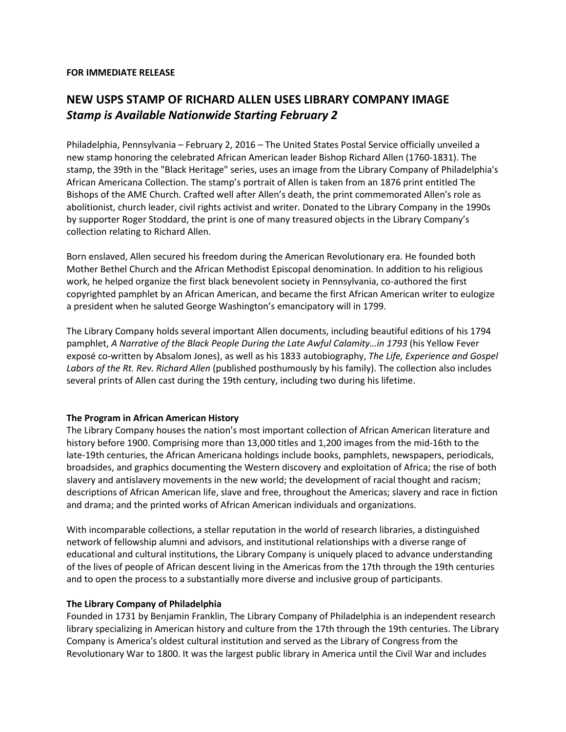## **FOR IMMEDIATE RELEASE**

## **NEW USPS STAMP OF RICHARD ALLEN USES LIBRARY COMPANY IMAGE** *Stamp is Available Nationwide Starting February 2*

Philadelphia, Pennsylvania – February 2, 2016 – The United States Postal Service officially unveiled a new stamp honoring the celebrated African American leader Bishop Richard Allen (1760-1831). The stamp, the 39th in the "Black Heritage" series, uses an image from the Library Company of Philadelphia's African Americana Collection. The stamp's portrait of Allen is taken from an 1876 print entitled The Bishops of the AME Church. Crafted well after Allen's death, the print commemorated Allen's role as abolitionist, church leader, civil rights activist and writer. Donated to the Library Company in the 1990s by supporter Roger Stoddard, the print is one of many treasured objects in the Library Company's collection relating to Richard Allen.

Born enslaved, Allen secured his freedom during the American Revolutionary era. He founded both Mother Bethel Church and the African Methodist Episcopal denomination. In addition to his religious work, he helped organize the first black benevolent society in Pennsylvania, co-authored the first copyrighted pamphlet by an African American, and became the first African American writer to eulogize a president when he saluted George Washington's emancipatory will in 1799.

The Library Company holds several important Allen documents, including beautiful editions of his 1794 pamphlet, *A Narrative of the Black People During the Late Awful Calamity…in 1793* (his Yellow Fever exposé co-written by Absalom Jones), as well as his 1833 autobiography, *The Life, Experience and Gospel Labors of the Rt. Rev. Richard Allen* (published posthumously by his family). The collection also includes several prints of Allen cast during the 19th century, including two during his lifetime.

## **The Program in African American History**

The Library Company houses the nation's most important collection of African American literature and history before 1900. Comprising more than 13,000 titles and 1,200 images from the mid-16th to the late-19th centuries, the African Americana holdings include books, pamphlets, newspapers, periodicals, broadsides, and graphics documenting the Western discovery and exploitation of Africa; the rise of both slavery and antislavery movements in the new world; the development of racial thought and racism; descriptions of African American life, slave and free, throughout the Americas; slavery and race in fiction and drama; and the printed works of African American individuals and organizations.

With incomparable collections, a stellar reputation in the world of research libraries, a distinguished network of fellowship alumni and advisors, and institutional relationships with a diverse range of educational and cultural institutions, the Library Company is uniquely placed to advance understanding of the lives of people of African descent living in the Americas from the 17th through the 19th centuries and to open the process to a substantially more diverse and inclusive group of participants.

## **The Library Company of Philadelphia**

Founded in 1731 by Benjamin Franklin, The Library Company of Philadelphia is an independent research library specializing in American history and culture from the 17th through the 19th centuries. The Library Company is America's oldest cultural institution and served as the Library of Congress from the Revolutionary War to 1800. It was the largest public library in America until the Civil War and includes